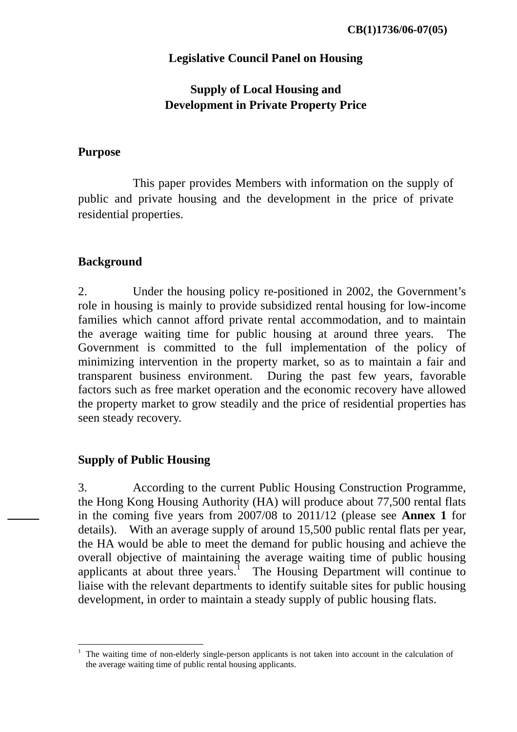### **Legislative Council Panel on Housing**

# **Supply of Local Housing and Development in Private Property Price**

#### **Purpose**

This paper provides Members with information on the supply of public and private housing and the development in the price of private residential properties.

### **Background**

2. Under the housing policy re-positioned in 2002, the Government's role in housing is mainly to provide subsidized rental housing for low-income families which cannot afford private rental accommodation, and to maintain the average waiting time for public housing at around three years. The Government is committed to the full implementation of the policy of minimizing intervention in the property market, so as to maintain a fair and transparent business environment. During the past few years, favorable factors such as free market operation and the economic recovery have allowed the property market to grow steadily and the price of residential properties has seen steady recovery.

#### **Supply of Public Housing**

 $\overline{a}$ 

3. According to the current Public Housing Construction Programme, the Hong Kong Housing Authority (HA) will produce about 77,500 rental flats in the coming five years from 2007/08 to 2011/12 (please see **Annex 1** for details). With an average supply of around 15,500 public rental flats per year, the HA would be able to meet the demand for public housing and achieve the overall objective of maintaining the average waiting time of public housing applicants at about three years.<sup>1</sup> The Housing Department will continue to liaise with the relevant departments to identify suitable sites for public housing development, in order to maintain a steady supply of public housing flats.

<sup>1</sup> The waiting time of non-elderly single-person applicants is not taken into account in the calculation of the average waiting time of public rental housing applicants.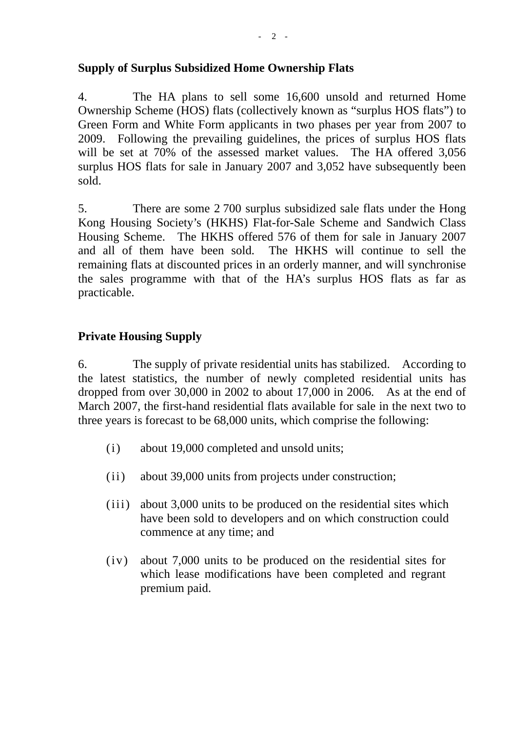### **Supply of Surplus Subsidized Home Ownership Flats**

4. The HA plans to sell some 16,600 unsold and returned Home Ownership Scheme (HOS) flats (collectively known as "surplus HOS flats") to Green Form and White Form applicants in two phases per year from 2007 to 2009. Following the prevailing guidelines, the prices of surplus HOS flats will be set at 70% of the assessed market values. The HA offered 3,056 surplus HOS flats for sale in January 2007 and 3,052 have subsequently been sold.

5. There are some 2 700 surplus subsidized sale flats under the Hong Kong Housing Society's (HKHS) Flat-for-Sale Scheme and Sandwich Class Housing Scheme. The HKHS offered 576 of them for sale in January 2007 and all of them have been sold. The HKHS will continue to sell the remaining flats at discounted prices in an orderly manner, and will synchronise the sales programme with that of the HA's surplus HOS flats as far as practicable.

## **Private Housing Supply**

6. The supply of private residential units has stabilized. According to the latest statistics, the number of newly completed residential units has dropped from over 30,000 in 2002 to about 17,000 in 2006. As at the end of March 2007, the first-hand residential flats available for sale in the next two to three years is forecast to be 68,000 units, which comprise the following:

- (i) about 19,000 completed and unsold units;
- (ii) about 39,000 units from projects under construction;
- (iii) about 3,000 units to be produced on the residential sites which have been sold to developers and on which construction could commence at any time; and
- (iv) about 7,000 units to be produced on the residential sites for which lease modifications have been completed and regrant premium paid.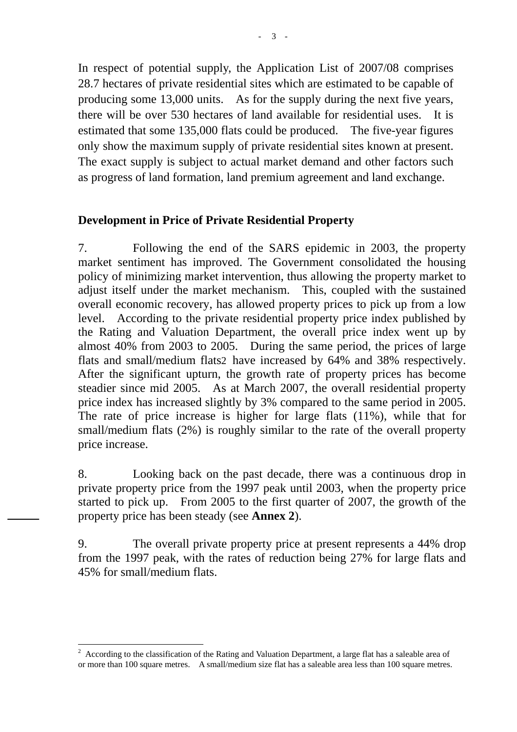In respect of potential supply, the Application List of 2007/08 comprises 28.7 hectares of private residential sites which are estimated to be capable of producing some 13,000 units. As for the supply during the next five years, there will be over 530 hectares of land available for residential uses. It is estimated that some 135,000 flats could be produced. The five-year figures only show the maximum supply of private residential sites known at present. The exact supply is subject to actual market demand and other factors such as progress of land formation, land premium agreement and land exchange.

### **Development in Price of Private Residential Property**

7. Following the end of the SARS epidemic in 2003, the property market sentiment has improved. The Government consolidated the housing policy of minimizing market intervention, thus allowing the property market to adjust itself under the market mechanism. This, coupled with the sustained overall economic recovery, has allowed property prices to pick up from a low level. According to the private residential property price index published by the Rating and Valuation Department, the overall price index went up by almost 40% from 2003 to 2005. During the same period, the prices of large flats and small/medium flats2 have increased by 64% and 38% respectively. After the significant upturn, the growth rate of property prices has become steadier since mid 2005. As at March 2007, the overall residential property price index has increased slightly by 3% compared to the same period in 2005. The rate of price increase is higher for large flats (11%), while that for small/medium flats (2%) is roughly similar to the rate of the overall property price increase.

8. Looking back on the past decade, there was a continuous drop in private property price from the 1997 peak until 2003, when the property price started to pick up. From 2005 to the first quarter of 2007, the growth of the property price has been steady (see **Annex 2**).

9. The overall private property price at present represents a 44% drop from the 1997 peak, with the rates of reduction being 27% for large flats and 45% for small/medium flats.

 $\overline{a}$ <sup>2</sup> According to the classification of the Rating and Valuation Department, a large flat has a saleable area of or more than 100 square metres. A small/medium size flat has a saleable area less than 100 square metres.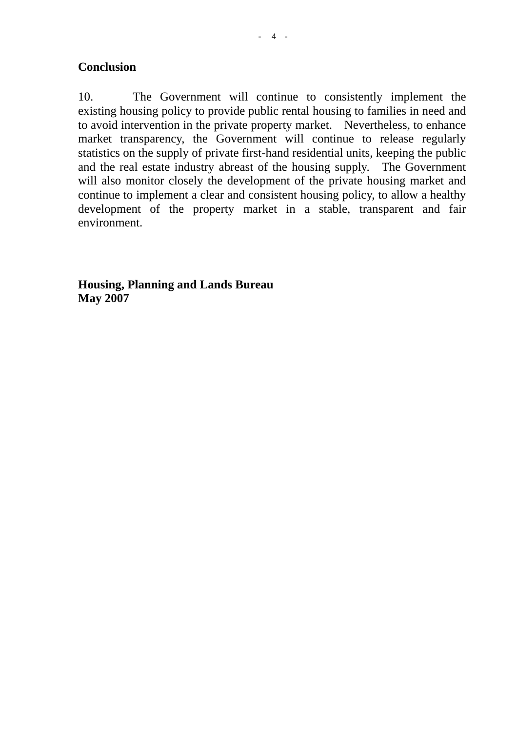10. The Government will continue to consistently implement the existing housing policy to provide public rental housing to families in need and to avoid intervention in the private property market. Nevertheless, to enhance market transparency, the Government will continue to release regularly statistics on the supply of private first-hand residential units, keeping the public and the real estate industry abreast of the housing supply. The Government will also monitor closely the development of the private housing market and continue to implement a clear and consistent housing policy, to allow a healthy development of the property market in a stable, transparent and fair environment.

**Housing, Planning and Lands Bureau May 2007**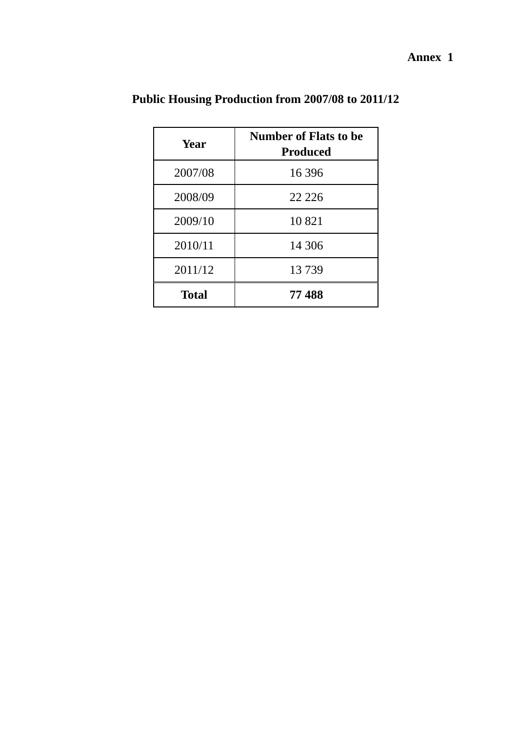**Annex 1** 

| Year         | <b>Number of Flats to be</b><br><b>Produced</b> |
|--------------|-------------------------------------------------|
| 2007/08      | 16 3 9 6                                        |
| 2008/09      | 22 2 2 6                                        |
| 2009/10      | 10 821                                          |
| 2010/11      | 14 30 6                                         |
| 2011/12      | 13739                                           |
| <b>Total</b> | 77488                                           |

**Public Housing Production from 2007/08 to 2011/12**